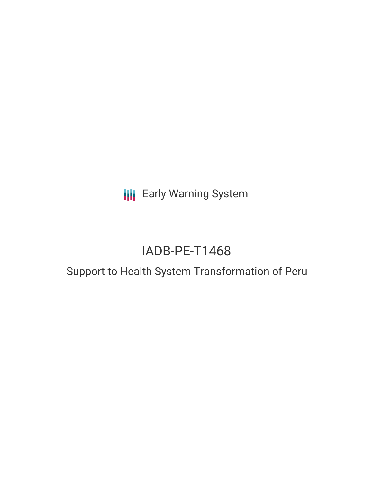**III** Early Warning System

# IADB-PE-T1468

# Support to Health System Transformation of Peru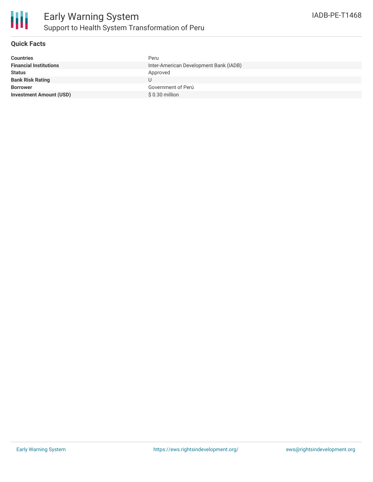

## **Quick Facts**

| <b>Countries</b>               | Peru                                   |
|--------------------------------|----------------------------------------|
| <b>Financial Institutions</b>  | Inter-American Development Bank (IADB) |
| <b>Status</b>                  | Approved                               |
| <b>Bank Risk Rating</b>        |                                        |
| <b>Borrower</b>                | Government of Perú                     |
| <b>Investment Amount (USD)</b> | $$0.30$ million                        |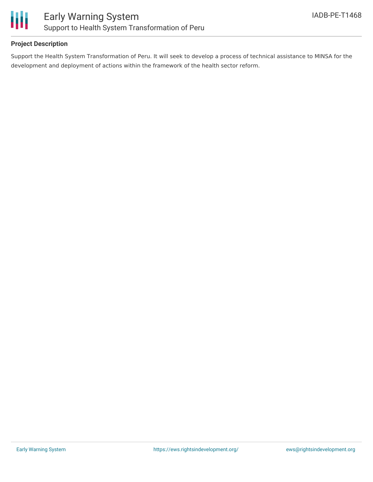

## **Project Description**

Support the Health System Transformation of Peru. It will seek to develop a process of technical assistance to MINSA for the development and deployment of actions within the framework of the health sector reform.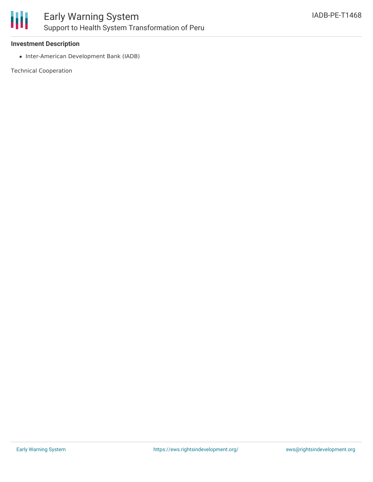

#### **Investment Description**

• Inter-American Development Bank (IADB)

Technical Cooperation